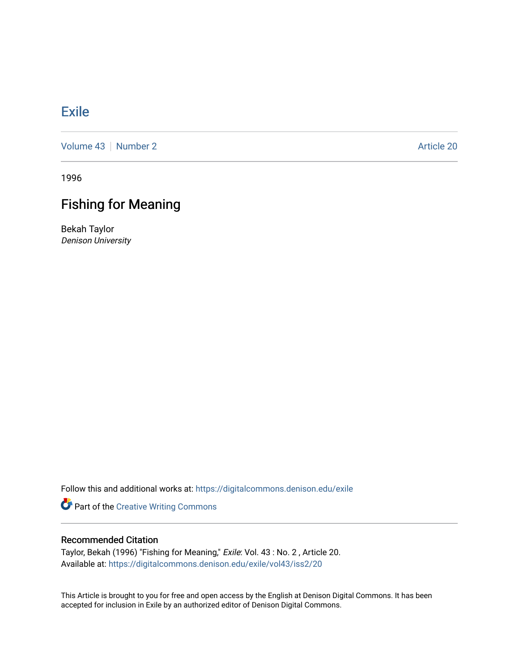## [Exile](https://digitalcommons.denison.edu/exile)

[Volume 43](https://digitalcommons.denison.edu/exile/vol43) [Number 2](https://digitalcommons.denison.edu/exile/vol43/iss2) Article 20

1996

## Fishing for Meaning

Bekah Taylor Denison University

Follow this and additional works at: [https://digitalcommons.denison.edu/exile](https://digitalcommons.denison.edu/exile?utm_source=digitalcommons.denison.edu%2Fexile%2Fvol43%2Fiss2%2F20&utm_medium=PDF&utm_campaign=PDFCoverPages) 

Part of the [Creative Writing Commons](http://network.bepress.com/hgg/discipline/574?utm_source=digitalcommons.denison.edu%2Fexile%2Fvol43%2Fiss2%2F20&utm_medium=PDF&utm_campaign=PDFCoverPages) 

## Recommended Citation

Taylor, Bekah (1996) "Fishing for Meaning," Exile: Vol. 43 : No. 2 , Article 20. Available at: [https://digitalcommons.denison.edu/exile/vol43/iss2/20](https://digitalcommons.denison.edu/exile/vol43/iss2/20?utm_source=digitalcommons.denison.edu%2Fexile%2Fvol43%2Fiss2%2F20&utm_medium=PDF&utm_campaign=PDFCoverPages)

This Article is brought to you for free and open access by the English at Denison Digital Commons. It has been accepted for inclusion in Exile by an authorized editor of Denison Digital Commons.